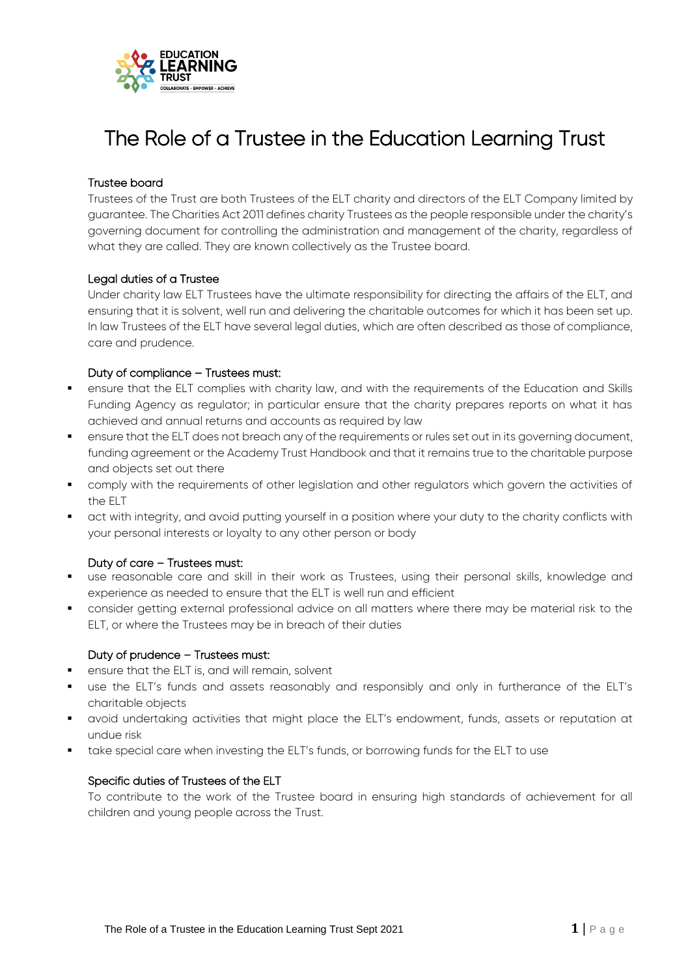

# The Role of a Trustee in the Education Learning Trust

# Trustee board

Trustees of the Trust are both Trustees of the ELT charity and directors of the ELT Company limited by guarantee. The Charities Act 2011 defines charity Trustees as the people responsible under the charity's governing document for controlling the administration and management of the charity, regardless of what they are called. They are known collectively as the Trustee board.

# Legal duties of a Trustee

Under charity law ELT Trustees have the ultimate responsibility for directing the affairs of the ELT, and ensuring that it is solvent, well run and delivering the charitable outcomes for which it has been set up. In law Trustees of the ELT have several legal duties, which are often described as those of compliance, care and prudence.

# Duty of compliance – Trustees must:

- ensure that the ELT complies with charity law, and with the requirements of the Education and Skills Funding Agency as regulator; in particular ensure that the charity prepares reports on what it has achieved and annual returns and accounts as required by law
- **EXECT A** ensure that the ELT does not breach any of the requirements or rules set out in its governing document, funding agreement or the Academy Trust Handbook and that it remains true to the charitable purpose and objects set out there
- comply with the requirements of other legislation and other regulators which govern the activities of the ELT
- act with integrity, and avoid putting yourself in a position where your duty to the charity conflicts with your personal interests or loyalty to any other person or body

#### Duty of care – Trustees must:

- use reasonable care and skill in their work as Trustees, using their personal skills, knowledge and experience as needed to ensure that the ELT is well run and efficient
- consider getting external professional advice on all matters where there may be material risk to the ELT, or where the Trustees may be in breach of their duties

#### Duty of prudence – Trustees must:

- ensure that the ELT is, and will remain, solvent
- use the ELT's funds and assets reasonably and responsibly and only in furtherance of the ELT's charitable objects
- avoid undertaking activities that might place the ELT's endowment, funds, assets or reputation at undue risk
- **thake special care when investing the ELT's funds, or borrowing funds for the ELT to use**

#### Specific duties of Trustees of the ELT

To contribute to the work of the Trustee board in ensuring high standards of achievement for all children and young people across the Trust.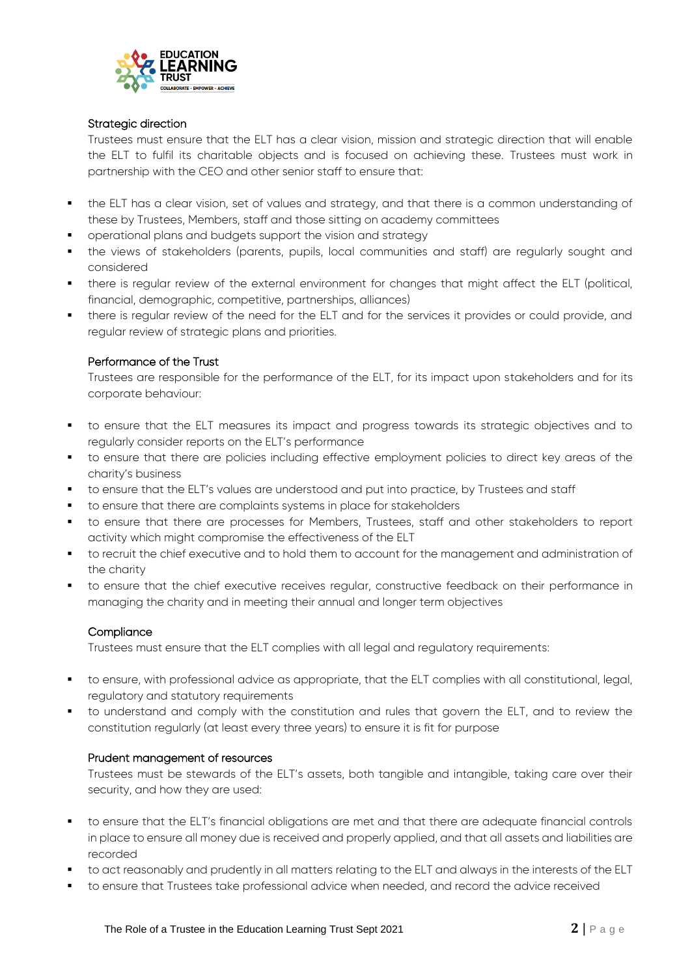

#### Strategic direction

Trustees must ensure that the ELT has a clear vision, mission and strategic direction that will enable the ELT to fulfil its charitable objects and is focused on achieving these. Trustees must work in partnership with the CEO and other senior staff to ensure that:

- the ELT has a clear vision, set of values and strategy, and that there is a common understanding of these by Trustees, Members, staff and those sitting on academy committees
- operational plans and budgets support the vision and strategy
- the views of stakeholders (parents, pupils, local communities and staff) are regularly sought and considered
- there is regular review of the external environment for changes that might affect the ELT (political, financial, demographic, competitive, partnerships, alliances)
- there is regular review of the need for the ELT and for the services it provides or could provide, and regular review of strategic plans and priorities.

# Performance of the Trust

Trustees are responsible for the performance of the ELT, for its impact upon stakeholders and for its corporate behaviour:

- to ensure that the ELT measures its impact and progress towards its strategic objectives and to regularly consider reports on the ELT's performance
- to ensure that there are policies including effective employment policies to direct key areas of the charity's business
- to ensure that the ELT's values are understood and put into practice, by Trustees and staff
- to ensure that there are complaints systems in place for stakeholders
- to ensure that there are processes for Members, Trustees, staff and other stakeholders to report activity which might compromise the effectiveness of the ELT
- to recruit the chief executive and to hold them to account for the management and administration of the charity
- to ensure that the chief executive receives regular, constructive feedback on their performance in managing the charity and in meeting their annual and longer term objectives

#### **Compliance**

Trustees must ensure that the ELT complies with all legal and regulatory requirements:

- to ensure, with professional advice as appropriate, that the ELT complies with all constitutional, legal, regulatory and statutory requirements
- to understand and comply with the constitution and rules that govern the ELT, and to review the constitution regularly (at least every three years) to ensure it is fit for purpose

#### Prudent management of resources

Trustees must be stewards of the ELT's assets, both tangible and intangible, taking care over their security, and how they are used:

- to ensure that the ELT's financial obligations are met and that there are adequate financial controls in place to ensure all money due is received and properly applied, and that all assets and liabilities are recorded
- to act reasonably and prudently in all matters relating to the ELT and always in the interests of the ELT
- to ensure that Trustees take professional advice when needed, and record the advice received